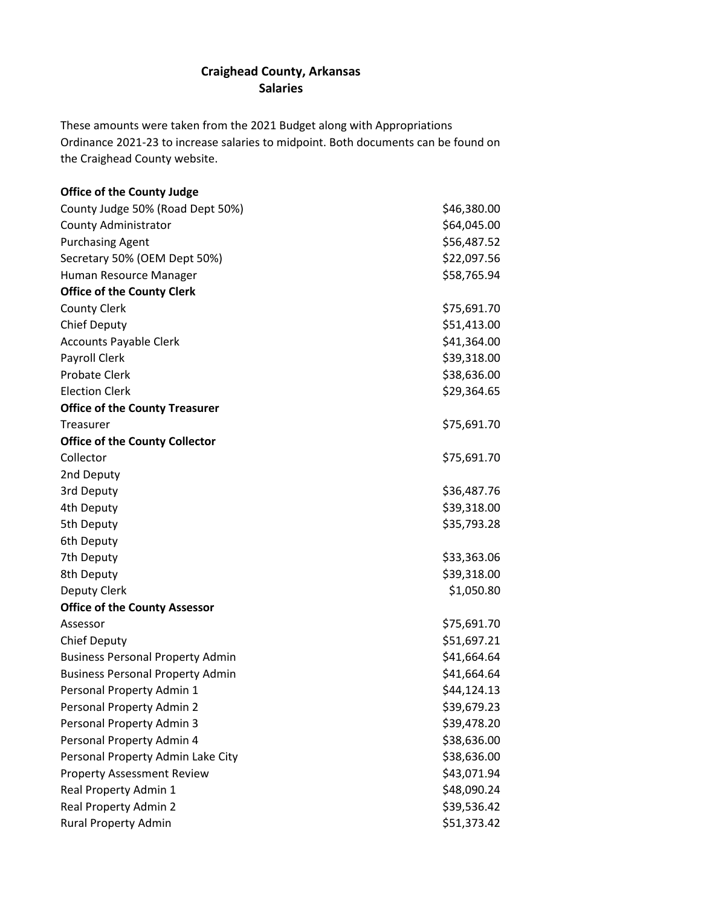## **Craighead County, Arkansas Salaries**

These amounts were taken from the 2021 Budget along with Appropriations Ordinance 2021-23 to increase salaries to midpoint. Both documents can be found on the Craighead County website.

| <b>Office of the County Judge</b>       |             |
|-----------------------------------------|-------------|
| County Judge 50% (Road Dept 50%)        | \$46,380.00 |
| <b>County Administrator</b>             | \$64,045.00 |
| <b>Purchasing Agent</b>                 | \$56,487.52 |
| Secretary 50% (OEM Dept 50%)            | \$22,097.56 |
| Human Resource Manager                  | \$58,765.94 |
| <b>Office of the County Clerk</b>       |             |
| <b>County Clerk</b>                     | \$75,691.70 |
| <b>Chief Deputy</b>                     | \$51,413.00 |
| <b>Accounts Payable Clerk</b>           | \$41,364.00 |
| Payroll Clerk                           | \$39,318.00 |
| <b>Probate Clerk</b>                    | \$38,636.00 |
| <b>Election Clerk</b>                   | \$29,364.65 |
| <b>Office of the County Treasurer</b>   |             |
| Treasurer                               | \$75,691.70 |
| <b>Office of the County Collector</b>   |             |
| Collector                               | \$75,691.70 |
| 2nd Deputy                              |             |
| 3rd Deputy                              | \$36,487.76 |
| 4th Deputy                              | \$39,318.00 |
| 5th Deputy                              | \$35,793.28 |
| 6th Deputy                              |             |
| 7th Deputy                              | \$33,363.06 |
| 8th Deputy                              | \$39,318.00 |
| Deputy Clerk                            | \$1,050.80  |
| <b>Office of the County Assessor</b>    |             |
| Assessor                                | \$75,691.70 |
| <b>Chief Deputy</b>                     | \$51,697.21 |
| <b>Business Personal Property Admin</b> | \$41,664.64 |
| <b>Business Personal Property Admin</b> | \$41,664.64 |
| Personal Property Admin 1               | \$44,124.13 |
| Personal Property Admin 2               | \$39,679.23 |
| Personal Property Admin 3               | \$39,478.20 |
| Personal Property Admin 4               | \$38,636.00 |
| Personal Property Admin Lake City       | \$38,636.00 |
| <b>Property Assessment Review</b>       | \$43,071.94 |
| Real Property Admin 1                   | \$48,090.24 |
| Real Property Admin 2                   | \$39,536.42 |
| <b>Rural Property Admin</b>             | \$51,373.42 |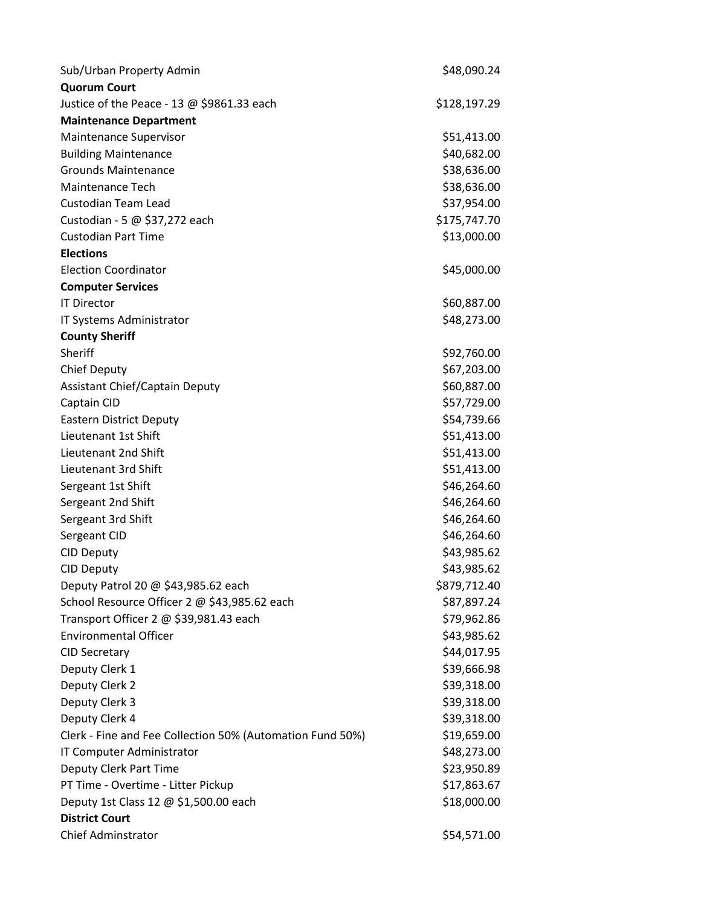| Sub/Urban Property Admin                                  | \$48,090.24  |
|-----------------------------------------------------------|--------------|
| <b>Quorum Court</b>                                       |              |
| Justice of the Peace - 13 $@$ \$9861.33 each              | \$128,197.29 |
| <b>Maintenance Department</b>                             |              |
| Maintenance Supervisor                                    | \$51,413.00  |
| <b>Building Maintenance</b>                               | \$40,682.00  |
| <b>Grounds Maintenance</b>                                | \$38,636.00  |
| Maintenance Tech                                          | \$38,636.00  |
| <b>Custodian Team Lead</b>                                | \$37,954.00  |
| Custodian - 5 @ \$37,272 each                             | \$175,747.70 |
| <b>Custodian Part Time</b>                                | \$13,000.00  |
| <b>Elections</b>                                          |              |
| <b>Election Coordinator</b>                               | \$45,000.00  |
| <b>Computer Services</b>                                  |              |
| <b>IT Director</b>                                        | \$60,887.00  |
| IT Systems Administrator                                  | \$48,273.00  |
| <b>County Sheriff</b>                                     |              |
| Sheriff                                                   | \$92,760.00  |
| Chief Deputy                                              | \$67,203.00  |
| Assistant Chief/Captain Deputy                            | \$60,887.00  |
| Captain CID                                               | \$57,729.00  |
| <b>Eastern District Deputy</b>                            | \$54,739.66  |
| Lieutenant 1st Shift                                      | \$51,413.00  |
| Lieutenant 2nd Shift                                      | \$51,413.00  |
| Lieutenant 3rd Shift                                      | \$51,413.00  |
| Sergeant 1st Shift                                        | \$46,264.60  |
| Sergeant 2nd Shift                                        | \$46,264.60  |
| Sergeant 3rd Shift                                        | \$46,264.60  |
| Sergeant CID                                              | \$46,264.60  |
| <b>CID Deputy</b>                                         | \$43,985.62  |
| <b>CID Deputy</b>                                         | \$43,985.62  |
| Deputy Patrol 20 @ \$43,985.62 each                       | \$879,712.40 |
| School Resource Officer 2 @ \$43,985.62 each              | \$87,897.24  |
| Transport Officer 2 @ \$39,981.43 each                    | \$79,962.86  |
| <b>Environmental Officer</b>                              | \$43,985.62  |
| <b>CID Secretary</b>                                      | \$44,017.95  |
| Deputy Clerk 1                                            | \$39,666.98  |
| Deputy Clerk 2                                            | \$39,318.00  |
| Deputy Clerk 3                                            | \$39,318.00  |
| Deputy Clerk 4                                            | \$39,318.00  |
| Clerk - Fine and Fee Collection 50% (Automation Fund 50%) | \$19,659.00  |
| IT Computer Administrator                                 | \$48,273.00  |
| Deputy Clerk Part Time                                    | \$23,950.89  |
| PT Time - Overtime - Litter Pickup                        | \$17,863.67  |
| Deputy 1st Class 12 @ \$1,500.00 each                     | \$18,000.00  |
| <b>District Court</b>                                     |              |
| <b>Chief Adminstrator</b>                                 | \$54,571.00  |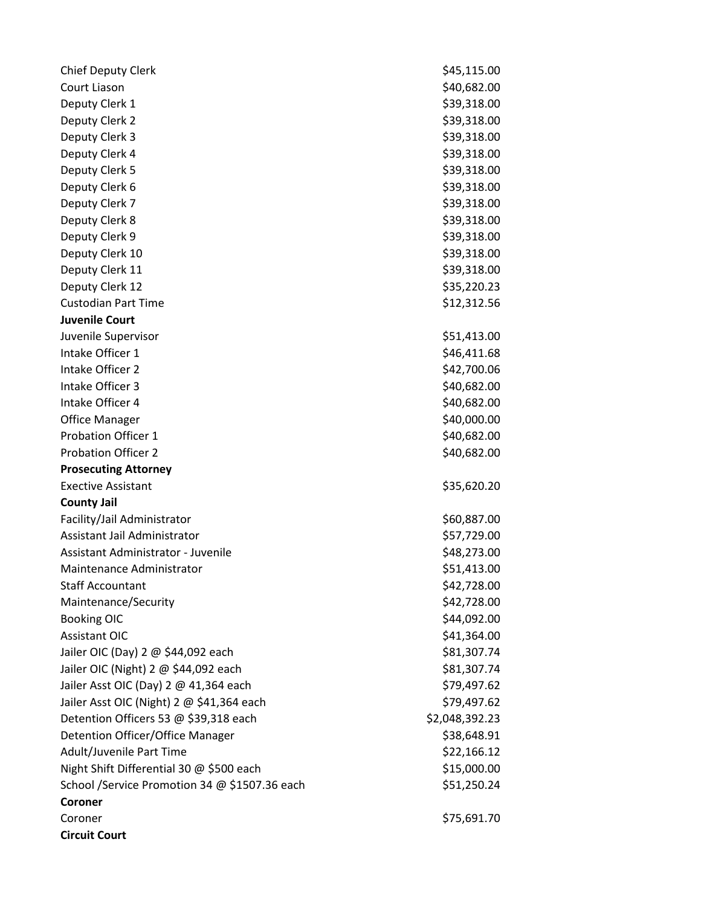| <b>Chief Deputy Clerk</b>                     | \$45,115.00    |
|-----------------------------------------------|----------------|
| Court Liason                                  | \$40,682.00    |
| Deputy Clerk 1                                | \$39,318.00    |
| Deputy Clerk 2                                | \$39,318.00    |
| Deputy Clerk 3                                | \$39,318.00    |
| Deputy Clerk 4                                | \$39,318.00    |
| Deputy Clerk 5                                | \$39,318.00    |
| Deputy Clerk 6                                | \$39,318.00    |
| Deputy Clerk 7                                | \$39,318.00    |
| Deputy Clerk 8                                | \$39,318.00    |
| Deputy Clerk 9                                | \$39,318.00    |
| Deputy Clerk 10                               | \$39,318.00    |
| Deputy Clerk 11                               | \$39,318.00    |
| Deputy Clerk 12                               | \$35,220.23    |
| <b>Custodian Part Time</b>                    | \$12,312.56    |
| <b>Juvenile Court</b>                         |                |
| Juvenile Supervisor                           | \$51,413.00    |
| Intake Officer 1                              | \$46,411.68    |
| Intake Officer 2                              | \$42,700.06    |
| Intake Officer 3                              | \$40,682.00    |
| Intake Officer 4                              | \$40,682.00    |
| <b>Office Manager</b>                         | \$40,000.00    |
| <b>Probation Officer 1</b>                    | \$40,682.00    |
| <b>Probation Officer 2</b>                    | \$40,682.00    |
| <b>Prosecuting Attorney</b>                   |                |
| <b>Exective Assistant</b>                     | \$35,620.20    |
| <b>County Jail</b>                            |                |
| Facility/Jail Administrator                   | \$60,887.00    |
| <b>Assistant Jail Administrator</b>           | \$57,729.00    |
| Assistant Administrator - Juvenile            | \$48,273.00    |
| Maintenance Administrator                     | \$51,413.00    |
| <b>Staff Accountant</b>                       | \$42,728.00    |
| Maintenance/Security                          | \$42,728.00    |
| <b>Booking OIC</b>                            | \$44,092.00    |
| <b>Assistant OIC</b>                          | \$41,364.00    |
| Jailer OIC (Day) 2 @ \$44,092 each            | \$81,307.74    |
| Jailer OIC (Night) 2 @ \$44,092 each          | \$81,307.74    |
| Jailer Asst OIC (Day) 2 @ 41,364 each         | \$79,497.62    |
| Jailer Asst OIC (Night) 2 @ \$41,364 each     | \$79,497.62    |
| Detention Officers 53 @ \$39,318 each         | \$2,048,392.23 |
| Detention Officer/Office Manager              | \$38,648.91    |
| Adult/Juvenile Part Time                      | \$22,166.12    |
| Night Shift Differential 30 @ \$500 each      | \$15,000.00    |
| School /Service Promotion 34 @ \$1507.36 each | \$51,250.24    |
| Coroner                                       |                |
| Coroner                                       | \$75,691.70    |
| <b>Circuit Court</b>                          |                |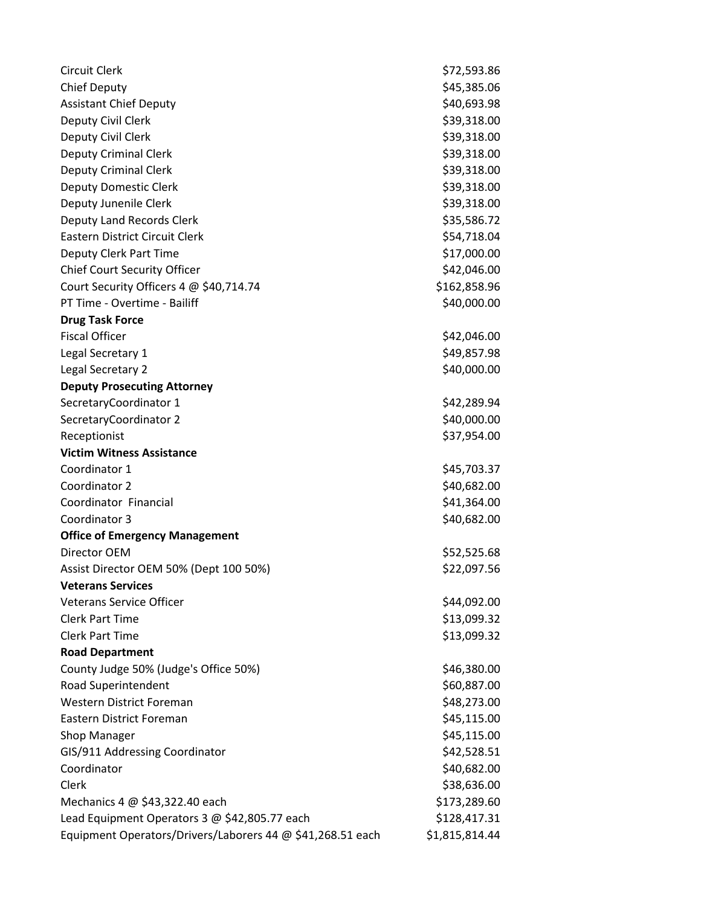| <b>Circuit Clerk</b>                                       | \$72,593.86    |
|------------------------------------------------------------|----------------|
| <b>Chief Deputy</b>                                        | \$45,385.06    |
| <b>Assistant Chief Deputy</b>                              | \$40,693.98    |
| Deputy Civil Clerk                                         | \$39,318.00    |
| Deputy Civil Clerk                                         | \$39,318.00    |
| <b>Deputy Criminal Clerk</b>                               | \$39,318.00    |
| <b>Deputy Criminal Clerk</b>                               | \$39,318.00    |
| <b>Deputy Domestic Clerk</b>                               | \$39,318.00    |
| Deputy Junenile Clerk                                      | \$39,318.00    |
| Deputy Land Records Clerk                                  | \$35,586.72    |
| Eastern District Circuit Clerk                             | \$54,718.04    |
| Deputy Clerk Part Time                                     | \$17,000.00    |
| <b>Chief Court Security Officer</b>                        | \$42,046.00    |
| Court Security Officers 4 @ \$40,714.74                    | \$162,858.96   |
| PT Time - Overtime - Bailiff                               | \$40,000.00    |
| <b>Drug Task Force</b>                                     |                |
| <b>Fiscal Officer</b>                                      | \$42,046.00    |
| Legal Secretary 1                                          | \$49,857.98    |
| Legal Secretary 2                                          | \$40,000.00    |
| <b>Deputy Prosecuting Attorney</b>                         |                |
| SecretaryCoordinator 1                                     | \$42,289.94    |
| SecretaryCoordinator 2                                     | \$40,000.00    |
| Receptionist                                               | \$37,954.00    |
| <b>Victim Witness Assistance</b>                           |                |
| Coordinator 1                                              | \$45,703.37    |
| Coordinator 2                                              | \$40,682.00    |
| Coordinator Financial                                      | \$41,364.00    |
| Coordinator 3                                              | \$40,682.00    |
| <b>Office of Emergency Management</b>                      |                |
| Director OEM                                               | \$52,525.68    |
| Assist Director OEM 50% (Dept 100 50%)                     | \$22,097.56    |
| <b>Veterans Services</b>                                   |                |
| <b>Veterans Service Officer</b>                            | \$44,092.00    |
| <b>Clerk Part Time</b>                                     | \$13,099.32    |
| <b>Clerk Part Time</b>                                     | \$13,099.32    |
| <b>Road Department</b>                                     |                |
| County Judge 50% (Judge's Office 50%)                      | \$46,380.00    |
| Road Superintendent                                        | \$60,887.00    |
| <b>Western District Foreman</b>                            | \$48,273.00    |
| Eastern District Foreman                                   | \$45,115.00    |
| <b>Shop Manager</b>                                        | \$45,115.00    |
| GIS/911 Addressing Coordinator                             | \$42,528.51    |
| Coordinator                                                | \$40,682.00    |
| Clerk                                                      | \$38,636.00    |
| Mechanics $4 \omega$ \$43,322.40 each                      | \$173,289.60   |
| Lead Equipment Operators 3 @ \$42,805.77 each              | \$128,417.31   |
| Equipment Operators/Drivers/Laborers 44 @ \$41,268.51 each | \$1,815,814.44 |